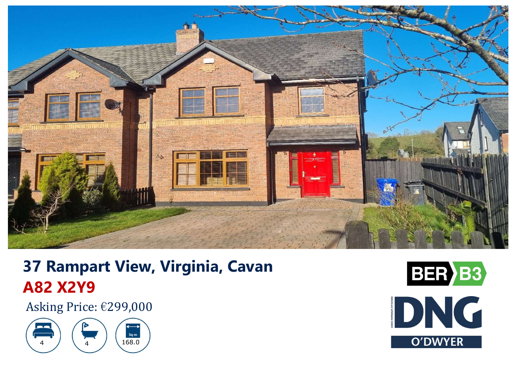

# **37 Rampart View, Virginia, Cavan A82 X2Y9**

Asking Price: €299,000



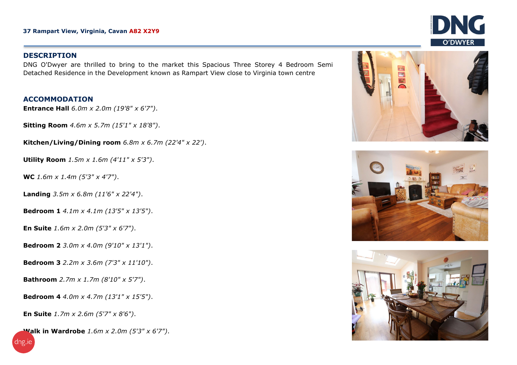### **DESCRIPTION**

DNG O'Dwyer are thrilled to bring to the market this Spacious Three Storey 4 Bedroom Semi Detached Residence in the Development known as Rampart View close to Virginia town centre

## **ACCOMMODATION**

**Entrance Hall** *6.0m <sup>x</sup> 2.0m (19'8" <sup>x</sup> 6'7")*.

**Sitting Room** *4.6m <sup>x</sup> 5.7m (15'1" <sup>x</sup> 18'8")*.

**Kitchen/Living/Dining room** *6.8m x 6.7m (22'4" x 22')*.

**Utility Room** *1.5m x 1.6m (4'11" x 5'3")*.

**WC** *1.6m x 1.4m (5'3" x 4'7")*.

**Landing** *3.5m x 6.8m (11'6" x 22'4")*.

**Bedroom 1** *4.1m x 4.1m (13'5" x 13'5")*.

**En Suite** *1.6m <sup>x</sup> 2.0m (5'3" x 6'7")*.

**Bedroom 2** *3.0m x 4.0m (9'10" x 13'1")*.

**Bedroom 3** *2.2m x 3.6m (7'3" x 11'10")*.

**Bathroom** *2.7m x 1.7m (8'10" x 5'7")*.

**Bedroom 4** *4.0m x 4.7m (13'1" x 15'5")*.

**En Suite** *1.7m <sup>x</sup> 2.6m (5'7" x 8'6")*.

dng.ie

**Walk in Wardrobe** *1.6m x 2.0m (5'3" x 6'7")*.